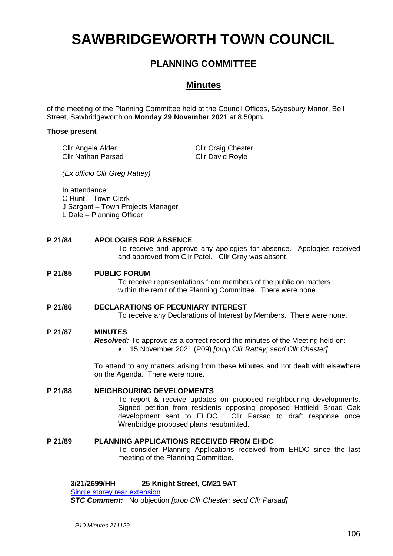# **SAWBRIDGEWORTH TOWN COUNCIL**

# **PLANNING COMMITTEE**

# **Minutes**

of the meeting of the Planning Committee held at the Council Offices, Sayesbury Manor, Bell Street, Sawbridgeworth on **Monday 29 November 2021** at 8.50pm**.**

#### **Those present**

Cllr Angela Alder Cllr Nathan Parsad Cllr Craig Chester Cllr David Royle

*(Ex officio Cllr Greg Rattey)*

In attendance:

C Hunt – Town Clerk

J Sargant – Town Projects Manager

L Dale – Planning Officer

# **P 21/84 APOLOGIES FOR ABSENCE**

To receive and approve any apologies for absence. Apologies received and approved from Cllr Patel. Cllr Gray was absent.

#### **P 21/85 PUBLIC FORUM**

To receive representations from members of the public on matters within the remit of the Planning Committee. There were none.

# **P 21/86 DECLARATIONS OF PECUNIARY INTEREST**

To receive any Declarations of Interest by Members. There were none.

# **P 21/87 MINUTES**

*Resolved:* To approve as a correct record the minutes of the Meeting held on:

• 15 November 2021 (P09) *[prop Cllr Rattey; secd Cllr Chester]*

To attend to any matters arising from these Minutes and not dealt with elsewhere on the Agenda. There were none.

# **P 21/88 NEIGHBOURING DEVELOPMENTS**

To report & receive updates on proposed neighbouring developments. Signed petition from residents opposing proposed Hatfield Broad Oak development sent to EHDC. Cllr Parsad to draft response once Wrenbridge proposed plans resubmitted.

### **P 21/89 PLANNING APPLICATIONS RECEIVED FROM EHDC**

To consider Planning Applications received from EHDC since the last meeting of the Planning Committee.

**\_\_\_\_\_\_\_\_\_\_\_\_\_\_\_\_\_\_\_\_\_\_\_\_\_\_\_\_\_\_\_\_\_\_\_\_\_\_\_\_\_\_\_\_\_\_\_\_\_\_\_\_\_\_\_\_\_\_\_\_\_\_\_\_\_**

**\_\_\_\_\_\_\_\_\_\_\_\_\_\_\_\_\_\_\_\_\_\_\_\_\_\_\_\_\_\_\_\_\_\_\_\_\_\_\_\_\_\_\_\_\_\_\_\_\_\_\_\_\_\_\_\_\_\_\_\_\_\_\_\_\_\_\_\_\_\_\_**

### **3/21/2699/HH 25 Knight Street, CM21 9AT**

[Single storey rear extension](https://publicaccess.eastherts.gov.uk/online-applications/applicationDetails.do?activeTab=documents&keyVal=R1N5QVGLHQ600)

*STC Comment:* No objection *[prop Cllr Chester; secd Cllr Parsad]*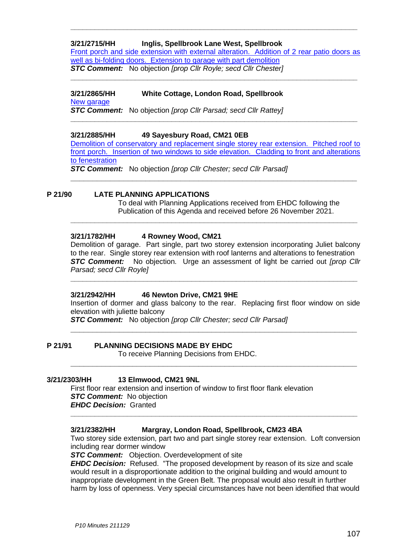# **3/21/2715/HH Inglis, Spellbrook Lane West, Spellbrook**

[Front porch and side extension with external alteration. Addition of 2 rear patio doors as](https://publicaccess.eastherts.gov.uk/online-applications/applicationDetails.do?activeTab=documents&keyVal=R1P0ECGLHR400)  [well as bi-folding doors. Extension to garage with part demolition](https://publicaccess.eastherts.gov.uk/online-applications/applicationDetails.do?activeTab=documents&keyVal=R1P0ECGLHR400) *STC Comment:* No objection *[prop Cllr Royle; secd Cllr Chester]*

**\_\_\_\_\_\_\_\_\_\_\_\_\_\_\_\_\_\_\_\_\_\_\_\_\_\_\_\_\_\_\_\_\_\_\_\_\_\_\_\_\_\_\_\_\_\_\_\_\_\_\_\_\_\_\_\_\_\_\_\_\_\_\_\_\_\_\_\_\_\_\_**

**\_\_\_\_\_\_\_\_\_\_\_\_\_\_\_\_\_\_\_\_\_\_\_\_\_\_\_\_\_\_\_\_\_\_\_\_\_\_\_\_\_\_\_\_\_\_\_\_\_\_\_\_\_\_\_\_\_\_\_\_\_\_\_\_\_\_\_\_\_\_\_**

**3/21/2865/HH White Cottage, London Road, Spellbrook** [New garage](https://publicaccess.eastherts.gov.uk/online-applications/applicationDetails.do?activeTab=documents&keyVal=R2JY8QGLI1Y00)

*STC Comment:* No objection *[prop Cllr Parsad; secd Cllr Rattey]* **\_\_\_\_\_\_\_\_\_\_\_\_\_\_\_\_\_\_\_\_\_\_\_\_\_\_\_\_\_\_\_\_\_\_\_\_\_\_\_\_\_\_\_\_\_\_\_\_\_\_\_\_\_\_\_\_\_\_\_\_\_\_\_\_\_\_\_\_\_\_\_**

### **3/21/2885/HH 49 Sayesbury Road, CM21 0EB**

[Demolition of conservatory and replacement single storey rear extension. Pitched roof to](https://publicaccess.eastherts.gov.uk/online-applications/applicationDetails.do?activeTab=documents&keyVal=R2O9VUGLI3C00)  [front porch. Insertion of two windows to side elevation. Cladding to front and alterations](https://publicaccess.eastherts.gov.uk/online-applications/applicationDetails.do?activeTab=documents&keyVal=R2O9VUGLI3C00)  [to fenestration](https://publicaccess.eastherts.gov.uk/online-applications/applicationDetails.do?activeTab=documents&keyVal=R2O9VUGLI3C00)

**\_\_\_\_\_\_\_\_\_\_\_\_\_\_\_\_\_\_\_\_\_\_\_\_\_\_\_\_\_\_\_\_\_\_\_\_\_\_\_\_\_\_\_\_\_\_\_\_\_\_\_\_\_\_\_\_\_\_\_\_\_\_\_\_\_**

**\_\_\_\_\_\_\_\_\_\_\_\_\_\_\_\_\_\_\_\_\_\_\_\_\_\_\_\_\_\_\_\_\_\_\_\_\_\_\_\_\_\_\_\_\_\_\_\_\_\_\_\_\_\_\_\_\_\_\_\_\_\_\_\_\_\_\_\_\_\_\_**

*STC Comment:* No objection *[prop Cllr Chester; secd Cllr Parsad]*

#### **P 21/90 LATE PLANNING APPLICATIONS**

To deal with Planning Applications received from EHDC following the Publication of this Agenda and received before 26 November 2021.

#### **3/21/1782/HH 4 Rowney Wood, CM21**

Demolition of garage. Part single, part two storey extension incorporating Juliet balcony to the rear. Single storey rear extension with roof lanterns and alterations to fenestration *STC Comment:* No objection. Urge an assessment of light be carried out *[prop Cllr Parsad; secd Cllr Royle]*

**\_\_\_\_\_\_\_\_\_\_\_\_\_\_\_\_\_\_\_\_\_\_\_\_\_\_\_\_\_\_\_\_\_\_\_\_\_\_\_\_\_\_\_\_\_\_\_\_\_\_\_\_\_\_\_\_\_\_\_\_\_\_\_\_\_\_\_\_\_\_\_**

#### **3/21/2942/HH 46 Newton Drive, CM21 9HE**

Insertion of dormer and glass balcony to the rear. Replacing first floor window on side elevation with juliette balcony

**\_\_\_\_\_\_\_\_\_\_\_\_\_\_\_\_\_\_\_\_\_\_\_\_\_\_\_\_\_\_\_\_\_\_\_\_\_\_\_\_\_\_\_\_\_\_\_\_\_\_\_\_\_\_\_\_\_\_\_\_\_\_\_\_\_**

**\_\_\_\_\_\_\_\_\_\_\_\_\_\_\_\_\_\_\_\_\_\_\_\_\_\_\_\_\_\_\_\_\_\_\_\_\_\_\_\_\_\_\_\_\_\_\_\_\_\_\_\_\_\_\_\_\_\_\_\_\_\_\_\_\_**

*STC Comment:* No objection *[prop Cllr Chester; secd Cllr Parsad]*

# **P 21/91 PLANNING DECISIONS MADE BY EHDC**

To receive Planning Decisions from EHDC.

### **3/21/2303/HH 13 Elmwood, CM21 9NL**

First floor rear extension and insertion of window to first floor flank elevation *STC Comment:* No objection *EHDC Decision:* Granted

#### **3/21/2382/HH Margray, London Road, Spellbrook, CM23 4BA**

Two storey side extension, part two and part single storey rear extension. Loft conversion including rear dormer window

**\_\_\_\_\_\_\_\_\_\_\_\_\_\_\_\_\_\_\_\_\_\_\_\_\_\_\_\_\_\_\_\_\_\_\_\_\_\_\_\_\_\_\_\_\_\_\_\_\_\_\_\_\_\_\_\_\_\_\_\_\_\_\_\_\_\_\_\_\_\_\_**

*STC Comment:* Objection. Overdevelopment of site

*EHDC Decision:* Refused. "The proposed development by reason of its size and scale would result in a disproportionate addition to the original building and would amount to inappropriate development in the Green Belt. The proposal would also result in further harm by loss of openness. Very special circumstances have not been identified that would